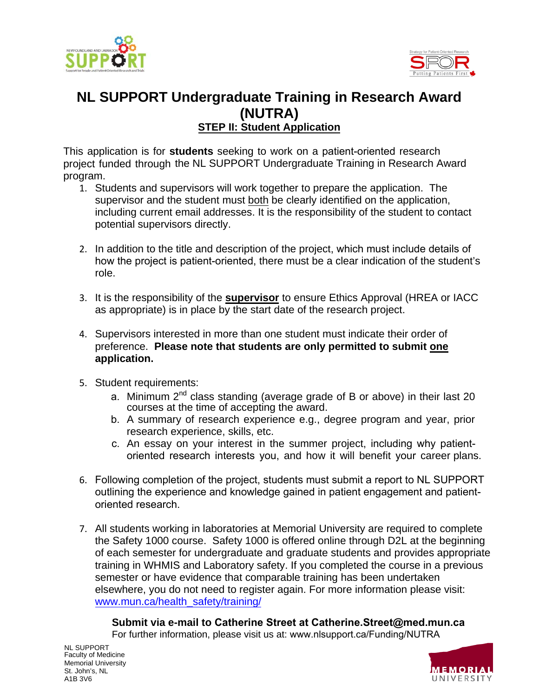



### **NL SUPPORT Undergraduate Training in Research Award (NUTRA) STEP II: Student Application**

This application is for **students** seeking to work on a patient-oriented research project funded through the NL SUPPORT Undergraduate Training in Research Award program.

- 1. Students and supervisors will work together to prepare the application. The supervisor and the student must both be clearly identified on the application, including current email addresses. It is the responsibility of the student to contact potential supervisors directly.
- 2. In addition to the title and description of the project, which must include details of how the project is patient-oriented, there must be a clear indication of the student's role.
- 3. It is the responsibility of the **supervisor** to ensure Ethics Approval (HREA or IACC as appropriate) is in place by the start date of the research project.
- 4. Supervisors interested in more than one student must indicate their order of preference. **Please note that students are only permitted to submit one application.**
- 5. Student requirements:
	- a. Minimum 2<sup>nd</sup> class standing (average grade of B or above) in their last 20 courses at the time of accepting the award.
	- b. A summary of research experience e.g., degree program and year, prior research experience, skills, etc.
	- c. An essay on your interest in the summer project, including why patientoriented research interests you, and how it will benefit your career plans.
- 6. Following completion of the project, students must submit a report to NL SUPPORT outlining the experience and knowledge gained in patient engagement and patientoriented research.
- 7. All students working in laboratories at Memorial University are required to complete the Safety 1000 course. Safety 1000 is offered online through D2L at the beginning of each semester for undergraduate and graduate students and provides appropriate training in WHMIS and Laboratory safety. If you completed the course in a previous semester or have evidence that comparable training has been undertaken elsewhere, [you do not](http://www.mun.ca/health_safety/training/) need to register again. For more information please visit: www.mun.ca/health\_safety/training/

#### **Submit via e-mail to Catherine Street at [Catherine.Street](mailto:dale.humphries@med.mun.ca)[@med.mu](http://www.nlsupport.ca/NUTRA.aspx)n.ca**

For further information, please visit us at: www.nlsupport.ca/Funding/NUTRA

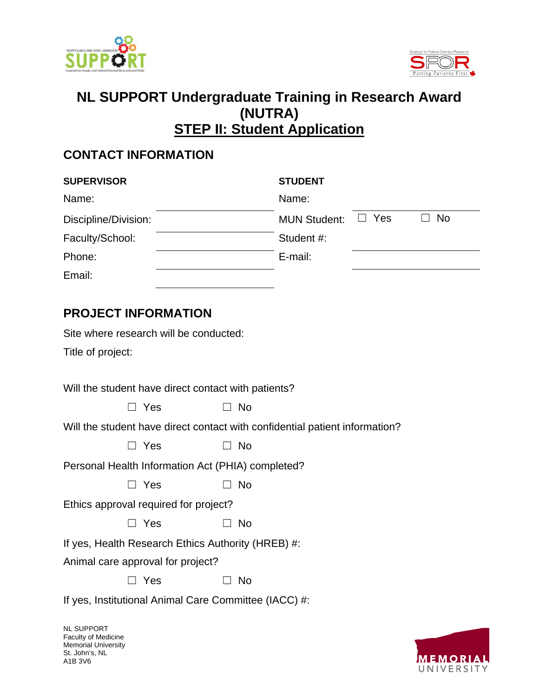



### **NL SUPPORT Undergraduate Training in Research Award (NUTRA) STEP II: Student Application**

#### **CONTACT INFORMATION**

| <b>SUPERVISOR</b>    | <b>STUDENT</b>                                 |
|----------------------|------------------------------------------------|
| Name:                | Name:                                          |
| Discipline/Division: | $\Box$ No<br>$\Box$ Yes<br><b>MUN Student:</b> |
| Faculty/School:      | Student #:                                     |
| Phone:               | E-mail:                                        |
| Email:               |                                                |

### **PROJECT INFORMATION**

Site where research will be conducted:

Title of project:

Will the student have direct contact with patients?

| $\Box$ No |
|-----------|
|           |

Will the student have direct contact with confidential patient information?

Personal Health Information Act (PHIA) completed?

| $\Box$ Yes |  | $\Box$ No |
|------------|--|-----------|
|------------|--|-----------|

Ethics approval required for project?

| $\Box$ No |
|-----------|
|           |

If yes, Health Research Ethics Authority (HREB) #:

Animal care approval for project?

☐ Yes ☐ No

If yes, Institutional Animal Care Committee (IACC) #:

NL SUPPORT Faculty of Medicine Memorial University St. John's, NL A1B 3V6

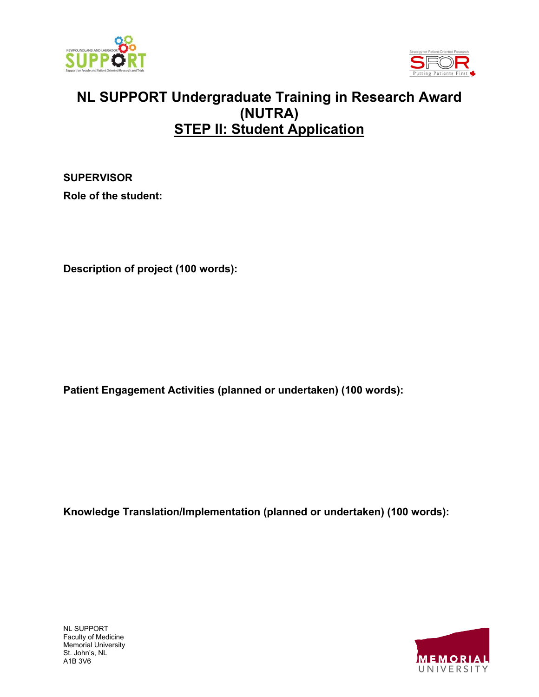



# **NL SUPPORT Undergraduate Training in Research Award (NUTRA) STEP II: Student Application**

**SUPERVISOR Role of the student:** 

**Description of project (100 words):** 

**Patient Engagement Activities (planned or undertaken) (100 words):** 

**Knowledge Translation/Implementation (planned or undertaken) (100 words):** 

NL SUPPORT Faculty of Medicine Memorial University St. John's, NL A1B 3V6